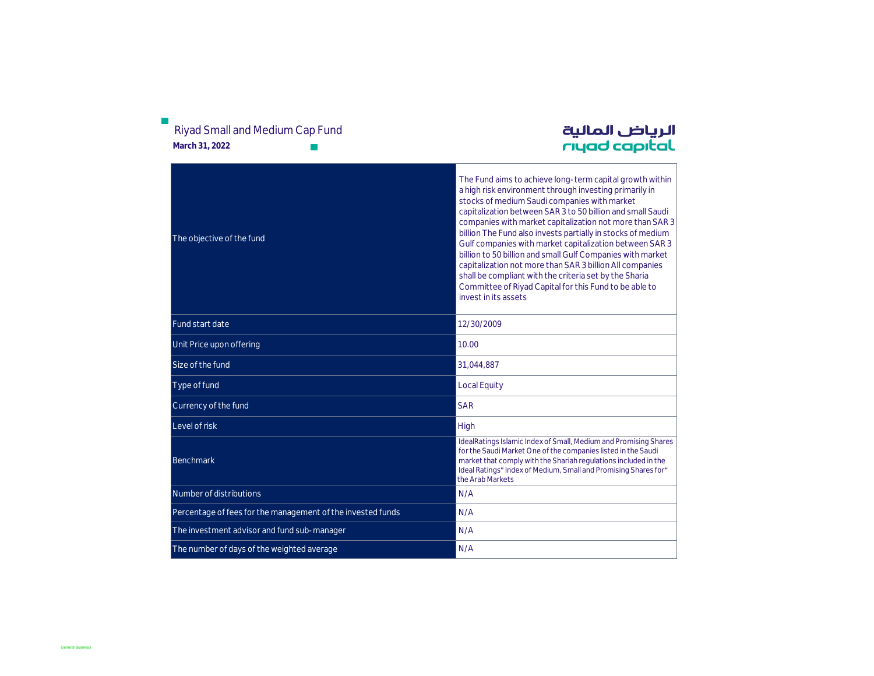| Riyad Small and Medium Cap Fund<br>March 31, 2022           | الرياض المالية<br>rıyad capıtal                                                                                                                                                                                                                                                                                                                                                                                                                                                                                                                                                                                                                                                              |
|-------------------------------------------------------------|----------------------------------------------------------------------------------------------------------------------------------------------------------------------------------------------------------------------------------------------------------------------------------------------------------------------------------------------------------------------------------------------------------------------------------------------------------------------------------------------------------------------------------------------------------------------------------------------------------------------------------------------------------------------------------------------|
| The objective of the fund                                   | The Fund aims to achieve long-term capital growth within<br>a high risk environment through investing primarily in<br>stocks of medium Saudi companies with market<br>capitalization between SAR 3 to 50 billion and small Saudi<br>companies with market capitalization not more than SAR 3<br>billion The Fund also invests partially in stocks of medium<br>Gulf companies with market capitalization between SAR 3<br>billion to 50 billion and small Gulf Companies with market<br>capitalization not more than SAR 3 billion All companies<br>shall be compliant with the criteria set by the Sharia<br>Committee of Riyad Capital for this Fund to be able to<br>invest in its assets |
| Fund start date                                             | 12/30/2009                                                                                                                                                                                                                                                                                                                                                                                                                                                                                                                                                                                                                                                                                   |
| Unit Price upon offering                                    | 10.00                                                                                                                                                                                                                                                                                                                                                                                                                                                                                                                                                                                                                                                                                        |
| Size of the fund                                            | 31,044,887                                                                                                                                                                                                                                                                                                                                                                                                                                                                                                                                                                                                                                                                                   |
| Type of fund                                                | <b>Local Equity</b>                                                                                                                                                                                                                                                                                                                                                                                                                                                                                                                                                                                                                                                                          |
| Currency of the fund                                        | <b>SAR</b>                                                                                                                                                                                                                                                                                                                                                                                                                                                                                                                                                                                                                                                                                   |
| Level of risk                                               | High                                                                                                                                                                                                                                                                                                                                                                                                                                                                                                                                                                                                                                                                                         |
| Benchmark                                                   | IdealRatings Islamic Index of Small, Medium and Promising Shares<br>for the Saudi Market One of the companies listed in the Saudi<br>market that comply with the Shariah regulations included in the<br>Ideal Ratings" Index of Medium, Small and Promising Shares for"<br>the Arab Markets                                                                                                                                                                                                                                                                                                                                                                                                  |
| Number of distributions                                     | N/A                                                                                                                                                                                                                                                                                                                                                                                                                                                                                                                                                                                                                                                                                          |
| Percentage of fees for the management of the invested funds | N/A                                                                                                                                                                                                                                                                                                                                                                                                                                                                                                                                                                                                                                                                                          |
| The investment advisor and fund sub-manager                 | N/A                                                                                                                                                                                                                                                                                                                                                                                                                                                                                                                                                                                                                                                                                          |
| The number of days of the weighted average                  | N/A                                                                                                                                                                                                                                                                                                                                                                                                                                                                                                                                                                                                                                                                                          |

# $\mathbb{R}^n$ Riyad Small and Medium Cap Fund

General Business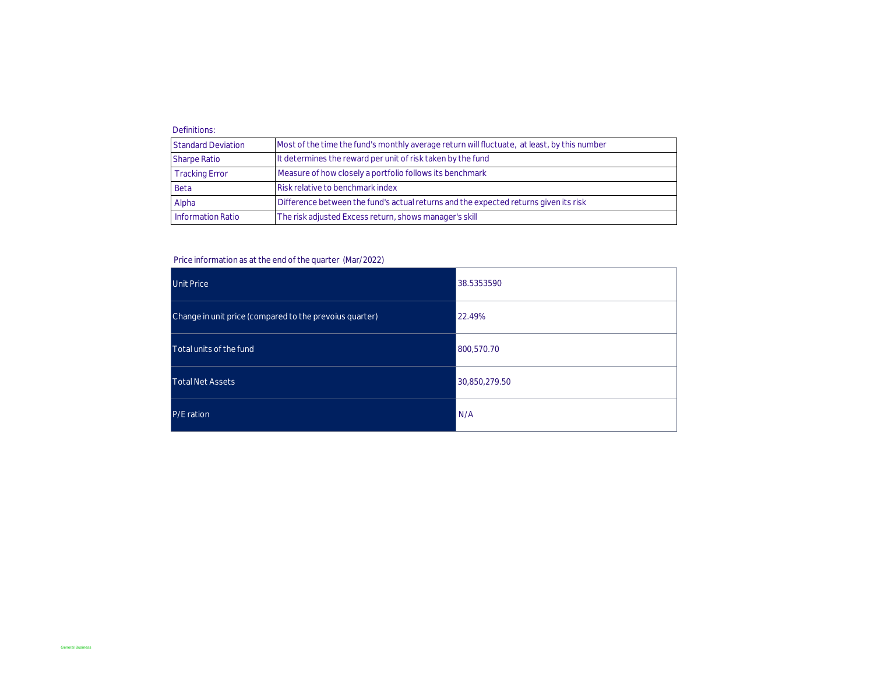## Definitions:

| <b>Standard Deviation</b> | Most of the time the fund's monthly average return will fluctuate, at least, by this number |
|---------------------------|---------------------------------------------------------------------------------------------|
| <b>Sharpe Ratio</b>       | It determines the reward per unit of risk taken by the fund                                 |
| <b>Tracking Error</b>     | Measure of how closely a portfolio follows its benchmark                                    |
| Beta                      | Risk relative to benchmark index                                                            |
| Alpha                     | Difference between the fund's actual returns and the expected returns given its risk        |
| <b>Information Ratio</b>  | The risk adjusted Excess return, shows manager's skill                                      |

## Price information as at the end of the quarter (Mar/2022)

| Unit Price                                              | 38.5353590    |
|---------------------------------------------------------|---------------|
| Change in unit price (compared to the prevoius quarter) | 22.49%        |
| Total units of the fund                                 | 800,570.70    |
| <b>Total Net Assets</b>                                 | 30,850,279.50 |
| P/E ration                                              | N/A           |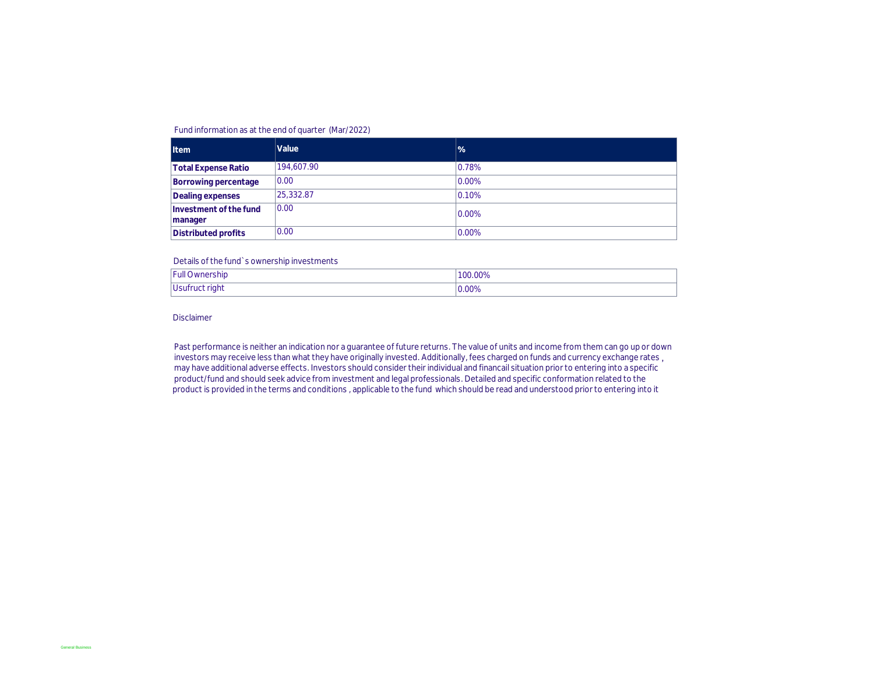## Fund information as at the end of quarter (Mar/2022)

| <b>Item</b>                       | Value      | $\frac{9}{6}$ |
|-----------------------------------|------------|---------------|
| <b>Total Expense Ratio</b>        | 194,607.90 | 0.78%         |
| Borrowing percentage              | 0.00       | 0.00%         |
| Dealing expenses                  | 25.332.87  | 0.10%         |
| Investment of the fund<br>manager | 0.00       | 0.00%         |
| Distributed profits               | 0.00       | 0.00%         |

#### Details of the fund`s ownership investments

| <b>Full Ownership</b> | 100.00%  |
|-----------------------|----------|
| Usufruct right        | $0.00\%$ |

Disclaimer

Past performance is neither an indication nor a guarantee of future returns. The value of units and income from them can go up or down investors may receive less than what they have originally invested. Additionally, fees charged on funds and currency exchange rates, may have additional adverse effects. Investors should consider their individual and financail situation prior to entering into a specific product/fund and should seek advice from investment and legal professionals. Detailed and specific conformation related to the product is provided in the terms and conditions , applicable to the fund which should be read and understood prior to entering into it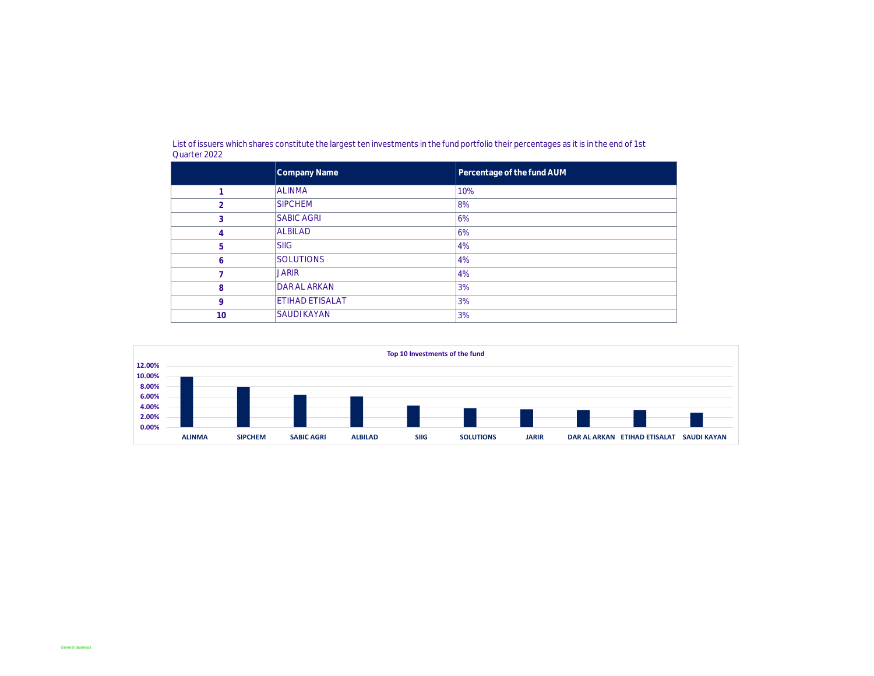|             | Company Name           | Percentage of the fund AUM |
|-------------|------------------------|----------------------------|
|             | <b>ALINMA</b>          | 10%                        |
| h           | <b>SIPCHEM</b>         | 8%                         |
| 3           | <b>SABIC AGRI</b>      | 6%                         |
| 4           | <b>ALBILAD</b>         | 6%                         |
| 5           | <b>SIIG</b>            | 4%                         |
| 6           | <b>SOLUTIONS</b>       | 4%                         |
|             | <b>JARIR</b>           | 4%                         |
| 8           | <b>DAR AL ARKAN</b>    | 3%                         |
| $\mathsf Q$ | <b>ETIHAD ETISALAT</b> | 3%                         |
| 10          | <b>SAUDI KAYAN</b>     | 3%                         |

List of issuers which shares constitute the largest ten investments in the fund portfolio their percentages as it is in the end of 1st Quarter 2022

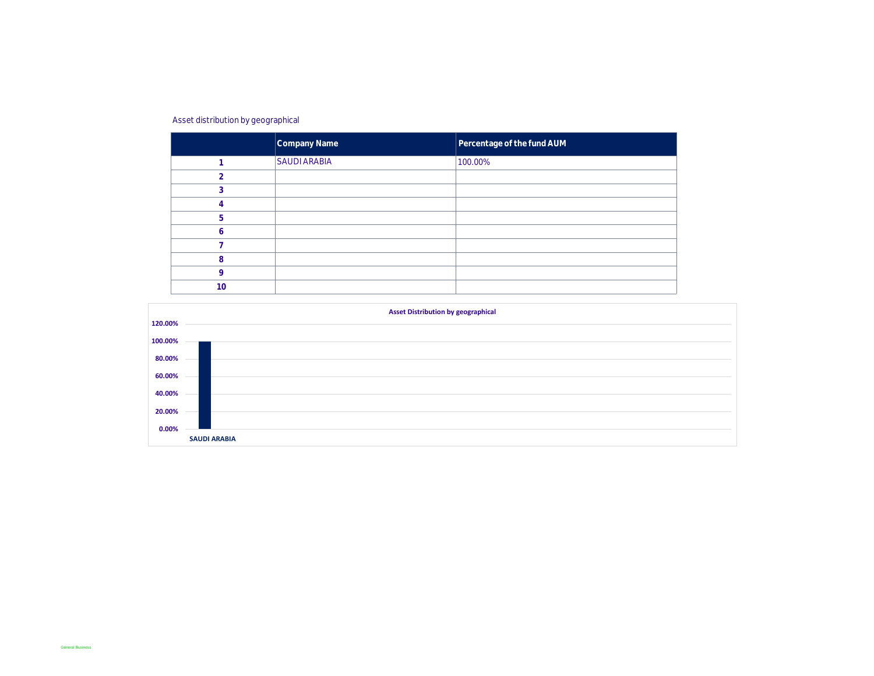## Asset distribution by geographical

|   | Company Name        | Percentage of the fund AUM |
|---|---------------------|----------------------------|
|   | <b>SAUDI ARABIA</b> | 100.00%                    |
|   |                     |                            |
|   |                     |                            |
|   |                     |                            |
| 5 |                     |                            |
|   |                     |                            |
|   |                     |                            |
| 8 |                     |                            |
| O |                     |                            |
|   |                     |                            |

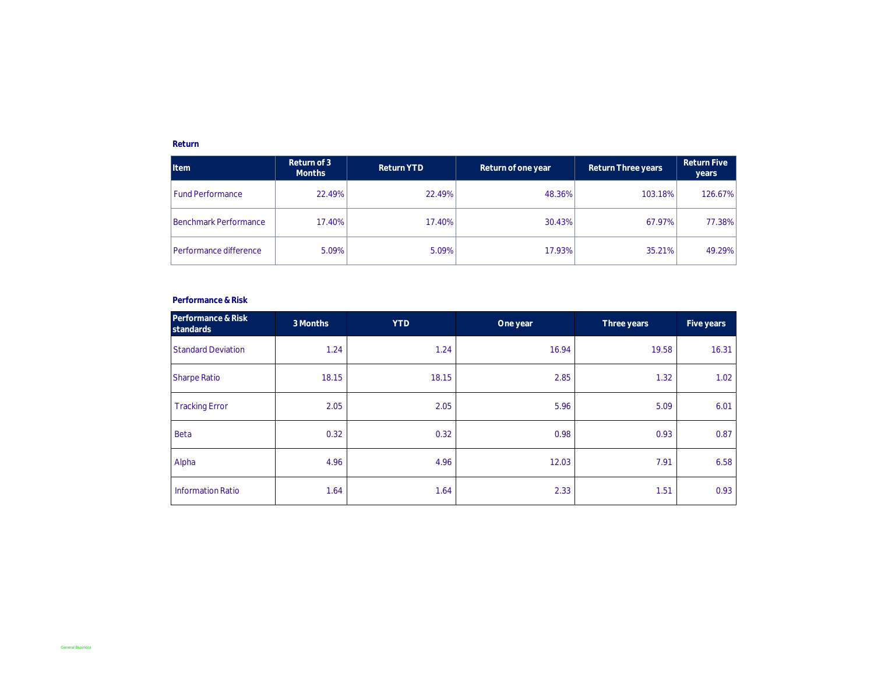## **Return**

| <b>Item</b>             | Return of 3<br><b>Months</b> | Return YTD | Return of one year | Return Three years | Return Five<br>years |
|-------------------------|------------------------------|------------|--------------------|--------------------|----------------------|
| <b>Fund Performance</b> | 22.49%                       | 22.49%     | 48.36%             | 103.18%            | 126.67%              |
| Benchmark Performance   | 17.40%                       | 17.40%     | 30.43%             | 67.97%             | 77.38%               |
| Performance difference  | 5.09%                        | 5.09%      | 17.93%             | 35.21%             | 49.29%               |

### **Performance & Risk**

| Performance & Risk<br>standards | 3 Months | <b>YTD</b> | One year | Three years | Five years |
|---------------------------------|----------|------------|----------|-------------|------------|
| <b>Standard Deviation</b>       | 1.24     | 1.24       | 16.94    | 19.58       | 16.31      |
| Sharpe Ratio                    | 18.15    | 18.15      | 2.85     | 1.32        | 1.02       |
| <b>Tracking Error</b>           | 2.05     | 2.05       | 5.96     | 5.09        | 6.01       |
| Beta                            | 0.32     | 0.32       | 0.98     | 0.93        | 0.87       |
| Alpha                           | 4.96     | 4.96       | 12.03    | 7.91        | 6.58       |
| <b>Information Ratio</b>        | 1.64     | 1.64       | 2.33     | 1.51        | 0.93       |